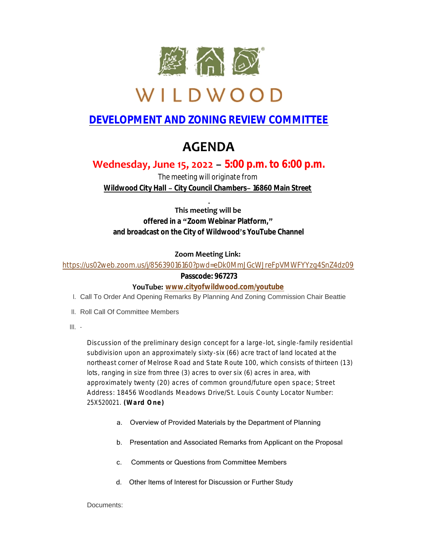

# WILDWOOD

## **DEVELOPMENT AND ZONING REVIEW COMMITTEE**

# **AGENDA**

### **Wednesday, June 15, 2022 – 5:00 p.m. to 6:00 p.m.**

*The meeting will originate from Wildwood City Hall – City Council Chambers– 16860 Main Street*

#### **This meeting will be offered in a "Zoom Webinar Platform," and broadcast on the City of Wildwood's YouTube Channel**

#### **Zoom Meeting Link:**

<https://us02web.zoom.us/j/85639016160?pwd=eDk0MmJGcWJreFpVMWFYYzg4SnZ4dz09>

#### **Passcode: 967273**

#### **YouTube: [www.cityofwildwood.com/youtube](http://www.cityofwildwood.com/youtube)**

- I. Call To Order And Opening Remarks By Planning And Zoning Commission Chair Beattie
- II. Roll Call Of Committee Members
- III.

Discussion of the preliminary design concept for a large-lot, single-family residential subdivision upon an approximately sixty-six (66) acre tract of land located at the northeast corner of Melrose Road and State Route 100, which consists of thirteen (13) lots, ranging in size from three (3) acres to over six (6) acres in area, with approximately twenty (20) acres of common ground/future open space; Street Address: 18456 Woodlands Meadows Drive/St. Louis County Locator Number: 25X520021. **(Ward One)**

- a. Overview of Provided Materials by the Department of Planning
- b. Presentation and Associated Remarks from Applicant on the Proposal
- c. Comments or Questions from Committee Members
- d. Other Items of Interest for Discussion or Further Study

Documents: